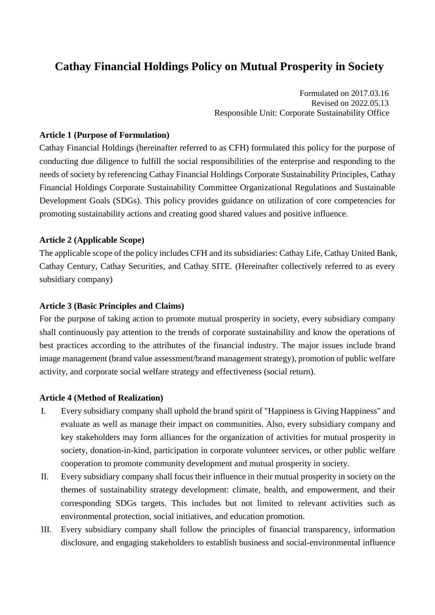# **Cathay Financial Holdings Policy on Mutual Prosperity in Society**

Formulated on 2017.03.16 Revised on 2022.05.13 Responsible Unit: Corporate Sustainability Office

## **Article 1 (Purpose of Formulation)**

Cathay Financial Holdings (hereinafter referred to as CFH) formulated this policy for the purpose of conducting due diligence to fulfill the social responsibilities of the enterprise and responding to the needs of society by referencing Cathay Financial Holdings Corporate Sustainability Principles, Cathay Financial Holdings Corporate Sustainability Committee Organizational Regulations and Sustainable Development Goals (SDGs). This policy provides guidance on utilization of core competencies for promoting sustainability actions and creating good shared values and positive influence.

## **Article 2 (Applicable Scope)**

The applicable scope of the policy includes CFH and its subsidiaries: Cathay Life, Cathay United Bank, Cathay Century, Cathay Securities, and Cathay SITE. (Hereinafter collectively referred to as every subsidiary company)

#### **Article 3 (Basic Principles and Claims)**

For the purpose of taking action to promote mutual prosperity in society, every subsidiary company shall continuously pay attention to the trends of corporate sustainability and know the operations of best practices according to the attributes of the financial industry. The major issues include brand image management (brand value assessment/brand management strategy), promotion of public welfare activity, and corporate social welfare strategy and effectiveness (social return).

#### **Article 4 (Method of Realization)**

- I. Every subsidiary company shall uphold the brand spirit of "Happiness is Giving Happiness" and evaluate as well as manage their impact on communities. Also, every subsidiary company and key stakeholders may form alliances for the organization of activities for mutual prosperity in society, donation-in-kind, participation in corporate volunteer services, or other public welfare cooperation to promote community development and mutual prosperity in society.
- II. Every subsidiary company shall focus their influence in their mutual prosperity in society on the themes of sustainability strategy development: climate, health, and empowerment, and their corresponding SDGs targets. This includes but not limited to relevant activities such as environmental protection, social initiatives, and education promotion.
- III. Every subsidiary company shall follow the principles of financial transparency, information disclosure, and engaging stakeholders to establish business and social-environmental influence